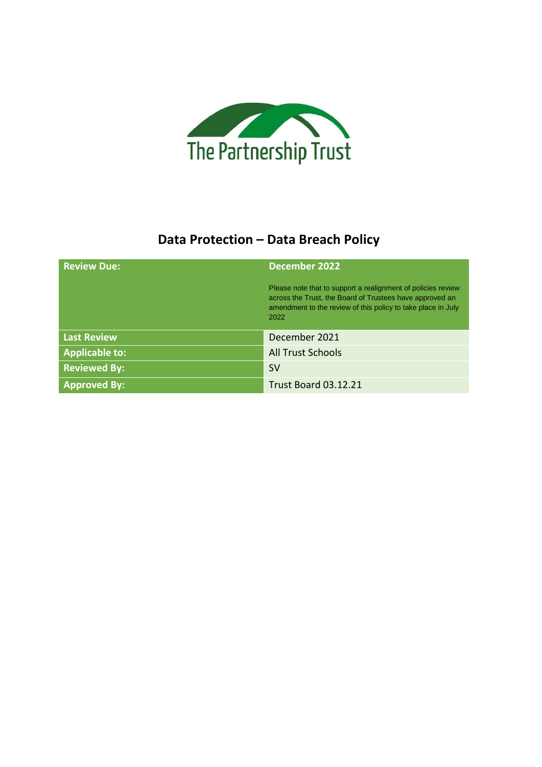

### **Data Protection – Data Breach Policy**

| <b>Review Due:</b>    | <b>December 2022</b>                                                                                                                                                                             |
|-----------------------|--------------------------------------------------------------------------------------------------------------------------------------------------------------------------------------------------|
|                       | Please note that to support a realignment of policies review<br>across the Trust, the Board of Trustees have approved an<br>amendment to the review of this policy to take place in July<br>2022 |
| <b>Last Review</b>    | December 2021                                                                                                                                                                                    |
| <b>Applicable to:</b> | <b>All Trust Schools</b>                                                                                                                                                                         |
| <b>Reviewed By:</b>   | <b>SV</b>                                                                                                                                                                                        |
| <b>Approved By:</b>   | <b>Trust Board 03.12.21</b>                                                                                                                                                                      |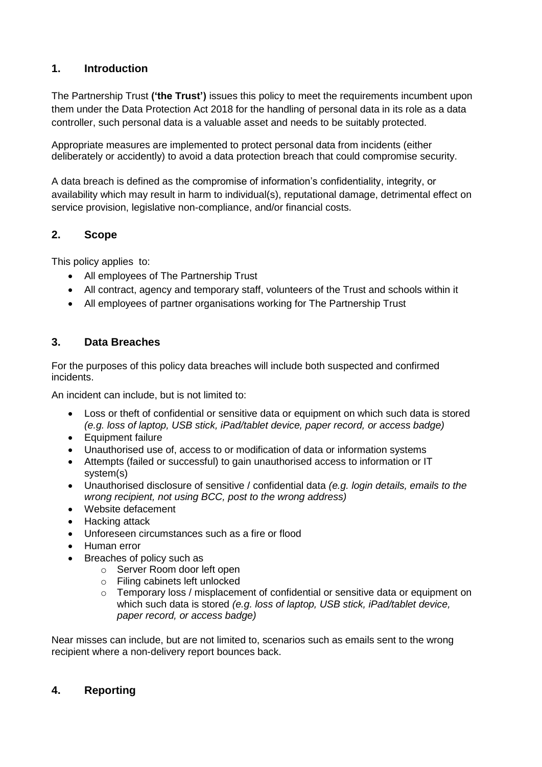#### **1. Introduction**

The Partnership Trust **('the Trust')** issues this policy to meet the requirements incumbent upon them under the Data Protection Act 2018 for the handling of personal data in its role as a data controller, such personal data is a valuable asset and needs to be suitably protected.

Appropriate measures are implemented to protect personal data from incidents (either deliberately or accidently) to avoid a data protection breach that could compromise security.

A data breach is defined as the compromise of information's confidentiality, integrity, or availability which may result in harm to individual(s), reputational damage, detrimental effect on service provision, legislative non-compliance, and/or financial costs.

#### **2. Scope**

This policy applies to:

- All employees of The Partnership Trust
- All contract, agency and temporary staff, volunteers of the Trust and schools within it
- All employees of partner organisations working for The Partnership Trust

#### **3. Data Breaches**

For the purposes of this policy data breaches will include both suspected and confirmed incidents.

An incident can include, but is not limited to:

- Loss or theft of confidential or sensitive data or equipment on which such data is stored *(e.g. loss of laptop, USB stick, iPad/tablet device, paper record, or access badge)*
- Equipment failure
- Unauthorised use of, access to or modification of data or information systems
- Attempts (failed or successful) to gain unauthorised access to information or IT system(s)
- Unauthorised disclosure of sensitive / confidential data *(e.g. login details, emails to the wrong recipient, not using BCC, post to the wrong address)*
- Website defacement
- Hacking attack
- Unforeseen circumstances such as a fire or flood
- Human error
- Breaches of policy such as
	- o Server Room door left open
	- o Filing cabinets left unlocked
	- $\circ$  Temporary loss / misplacement of confidential or sensitive data or equipment on which such data is stored *(e.g. loss of laptop, USB stick, iPad/tablet device, paper record, or access badge)*

Near misses can include, but are not limited to, scenarios such as emails sent to the wrong recipient where a non-delivery report bounces back.

#### **4. Reporting**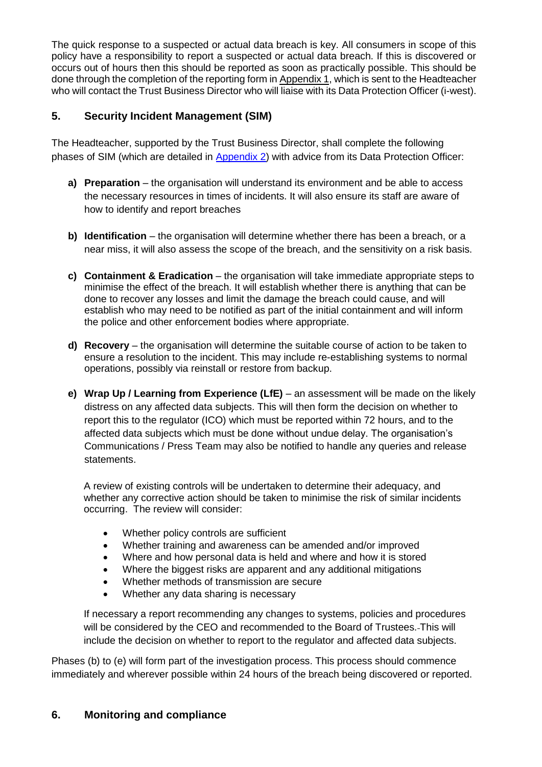The quick response to a suspected or actual data breach is key. All consumers in scope of this policy have a responsibility to report a suspected or actual data breach. If this is discovered or occurs out of hours then this should be reported as soon as practically possible. This should be done through the completion of the reporting form in [Appendix 1,](#page-4-0) which is sent to the Headteacher who will contact the Trust Business Director who will liaise with its Data Protection Officer (i-west).

#### **5. Security Incident Management (SIM)**

The Headteacher, supported by the Trust Business Director, shall complete the following phases of SIM (which are detailed in [Appendix 2\)](#page-5-0) with advice from its Data Protection Officer:

- **a) Preparation** the organisation will understand its environment and be able to access the necessary resources in times of incidents. It will also ensure its staff are aware of how to identify and report breaches
- **b) Identification** the organisation will determine whether there has been a breach, or a near miss, it will also assess the scope of the breach, and the sensitivity on a risk basis.
- **c) Containment & Eradication** the organisation will take immediate appropriate steps to minimise the effect of the breach. It will establish whether there is anything that can be done to recover any losses and limit the damage the breach could cause, and will establish who may need to be notified as part of the initial containment and will inform the police and other enforcement bodies where appropriate.
- **d) Recovery** the organisation will determine the suitable course of action to be taken to ensure a resolution to the incident. This may include re-establishing systems to normal operations, possibly via reinstall or restore from backup.
- **e) Wrap Up / Learning from Experience (LfE)** an assessment will be made on the likely distress on any affected data subjects. This will then form the decision on whether to report this to the regulator (ICO) which must be reported within 72 hours, and to the affected data subjects which must be done without undue delay. The organisation's Communications / Press Team may also be notified to handle any queries and release statements.

A review of existing controls will be undertaken to determine their adequacy, and whether any corrective action should be taken to minimise the risk of similar incidents occurring. The review will consider:

- Whether policy controls are sufficient
- Whether training and awareness can be amended and/or improved
- Where and how personal data is held and where and how it is stored
- Where the biggest risks are apparent and any additional mitigations
- Whether methods of transmission are secure
- Whether any data sharing is necessary

If necessary a report recommending any changes to systems, policies and procedures will be considered by the CEO and recommended to the Board of Trustees. This will include the decision on whether to report to the regulator and affected data subjects.

Phases (b) to (e) will form part of the investigation process. This process should commence immediately and wherever possible within 24 hours of the breach being discovered or reported.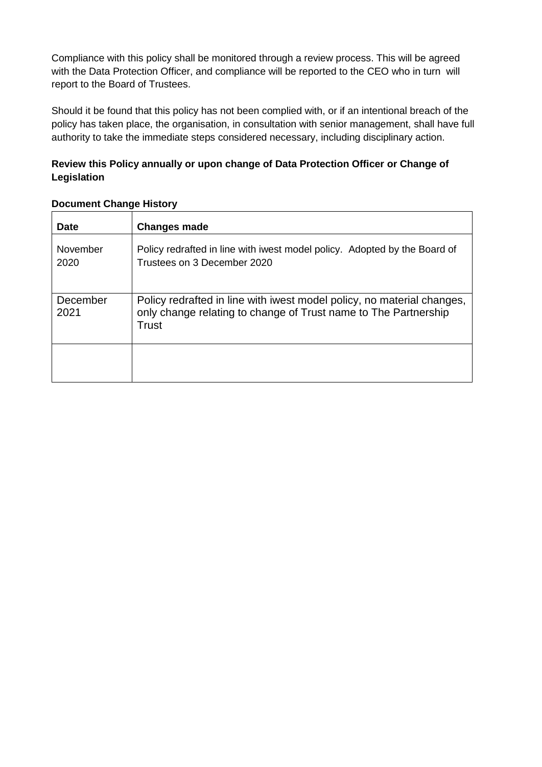Compliance with this policy shall be monitored through a review process. This will be agreed with the Data Protection Officer, and compliance will be reported to the CEO who in turn will report to the Board of Trustees.

Should it be found that this policy has not been complied with, or if an intentional breach of the policy has taken place, the organisation, in consultation with senior management, shall have full authority to take the immediate steps considered necessary, including disciplinary action.

#### **Review this Policy annually or upon change of Data Protection Officer or Change of Legislation**

| <b>Date</b>      | <b>Changes made</b>                                                                                                                                |
|------------------|----------------------------------------------------------------------------------------------------------------------------------------------------|
| November<br>2020 | Policy redrafted in line with iwest model policy. Adopted by the Board of<br>Trustees on 3 December 2020                                           |
| December<br>2021 | Policy redrafted in line with iwest model policy, no material changes,<br>only change relating to change of Trust name to The Partnership<br>Trust |
|                  |                                                                                                                                                    |

#### **Document Change History**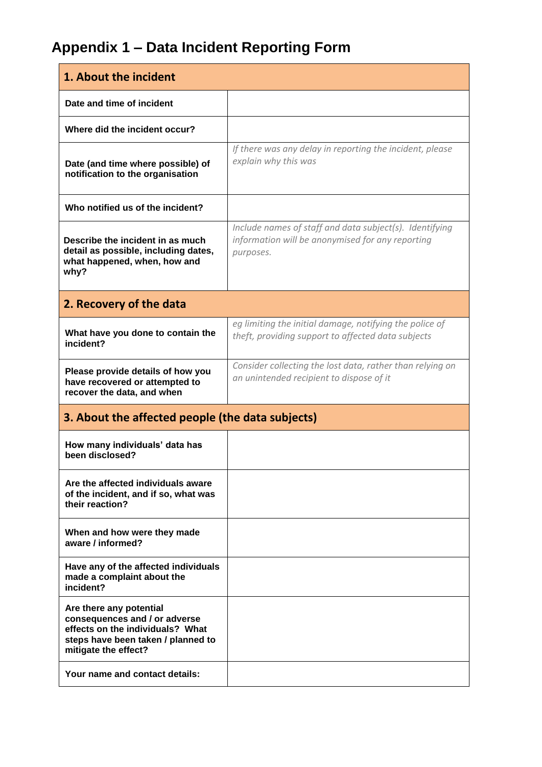# **Appendix 1 – Data Incident Reporting Form**

<span id="page-4-0"></span>

| 1. About the incident                                                                                                                                      |                                                                                                                          |
|------------------------------------------------------------------------------------------------------------------------------------------------------------|--------------------------------------------------------------------------------------------------------------------------|
| Date and time of incident                                                                                                                                  |                                                                                                                          |
| Where did the incident occur?                                                                                                                              |                                                                                                                          |
| Date (and time where possible) of<br>notification to the organisation                                                                                      | If there was any delay in reporting the incident, please<br>explain why this was                                         |
| Who notified us of the incident?                                                                                                                           |                                                                                                                          |
| Describe the incident in as much<br>detail as possible, including dates,<br>what happened, when, how and<br>why?                                           | Include names of staff and data subject(s). Identifying<br>information will be anonymised for any reporting<br>purposes. |
| 2. Recovery of the data                                                                                                                                    |                                                                                                                          |
| What have you done to contain the<br>incident?                                                                                                             | eg limiting the initial damage, notifying the police of<br>theft, providing support to affected data subjects            |
| Please provide details of how you<br>have recovered or attempted to<br>recover the data, and when                                                          | Consider collecting the lost data, rather than relying on<br>an unintended recipient to dispose of it                    |
| 3. About the affected people (the data subjects)                                                                                                           |                                                                                                                          |
| How many individuals' data has<br>been disclosed?                                                                                                          |                                                                                                                          |
| Are the affected individuals aware<br>of the incident, and if so, what was<br>their reaction?                                                              |                                                                                                                          |
| When and how were they made<br>aware / informed?                                                                                                           |                                                                                                                          |
| Have any of the affected individuals<br>made a complaint about the<br>incident?                                                                            |                                                                                                                          |
| Are there any potential<br>consequences and / or adverse<br>effects on the individuals? What<br>steps have been taken / planned to<br>mitigate the effect? |                                                                                                                          |
| Your name and contact details:                                                                                                                             |                                                                                                                          |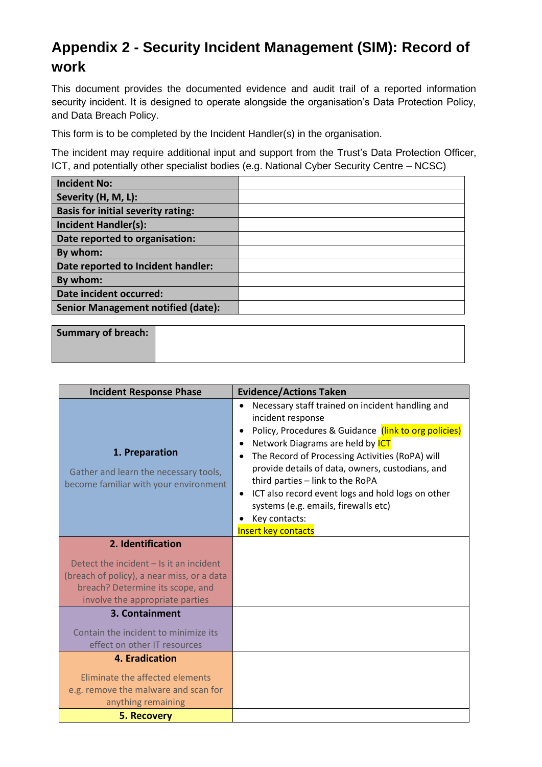## <span id="page-5-0"></span>**Appendix 2 - Security Incident Management (SIM): Record of work**

This document provides the documented evidence and audit trail of a reported information security incident. It is designed to operate alongside the organisation's Data Protection Policy, and Data Breach Policy.

This form is to be completed by the Incident Handler(s) in the organisation.

The incident may require additional input and support from the Trust's Data Protection Officer, ICT, and potentially other specialist bodies (e.g. National Cyber Security Centre – NCSC)

| <b>Incident No:</b>                       |  |
|-------------------------------------------|--|
| Severity (H, M, L):                       |  |
| <b>Basis for initial severity rating:</b> |  |
| <b>Incident Handler(s):</b>               |  |
| Date reported to organisation:            |  |
| By whom:                                  |  |
| Date reported to Incident handler:        |  |
| By whom:                                  |  |
| Date incident occurred:                   |  |
| <b>Senior Management notified (date):</b> |  |

| Summary of breach: |  |
|--------------------|--|
|                    |  |

| <b>Incident Response Phase</b>                                                                                                                                 | <b>Evidence/Actions Taken</b>                                                                                                                                                                                                                                                                                                                                                                                                                                              |
|----------------------------------------------------------------------------------------------------------------------------------------------------------------|----------------------------------------------------------------------------------------------------------------------------------------------------------------------------------------------------------------------------------------------------------------------------------------------------------------------------------------------------------------------------------------------------------------------------------------------------------------------------|
| 1. Preparation<br>Gather and learn the necessary tools,<br>become familiar with your environment                                                               | Necessary staff trained on incident handling and<br>$\bullet$<br>incident response<br>Policy, Procedures & Guidance (link to org policies)<br>Network Diagrams are held by ICT<br>The Record of Processing Activities (RoPA) will<br>provide details of data, owners, custodians, and<br>third parties - link to the RoPA<br>ICT also record event logs and hold logs on other<br>٠<br>systems (e.g. emails, firewalls etc)<br>Key contacts:<br><b>Insert key contacts</b> |
| 2. Identification                                                                                                                                              |                                                                                                                                                                                                                                                                                                                                                                                                                                                                            |
| Detect the incident $-$ Is it an incident<br>(breach of policy), a near miss, or a data<br>breach? Determine its scope, and<br>involve the appropriate parties |                                                                                                                                                                                                                                                                                                                                                                                                                                                                            |
| 3. Containment<br>Contain the incident to minimize its<br>effect on other IT resources                                                                         |                                                                                                                                                                                                                                                                                                                                                                                                                                                                            |
| 4. Eradication                                                                                                                                                 |                                                                                                                                                                                                                                                                                                                                                                                                                                                                            |
| Eliminate the affected elements<br>e.g. remove the malware and scan for<br>anything remaining                                                                  |                                                                                                                                                                                                                                                                                                                                                                                                                                                                            |
| 5. Recovery                                                                                                                                                    |                                                                                                                                                                                                                                                                                                                                                                                                                                                                            |